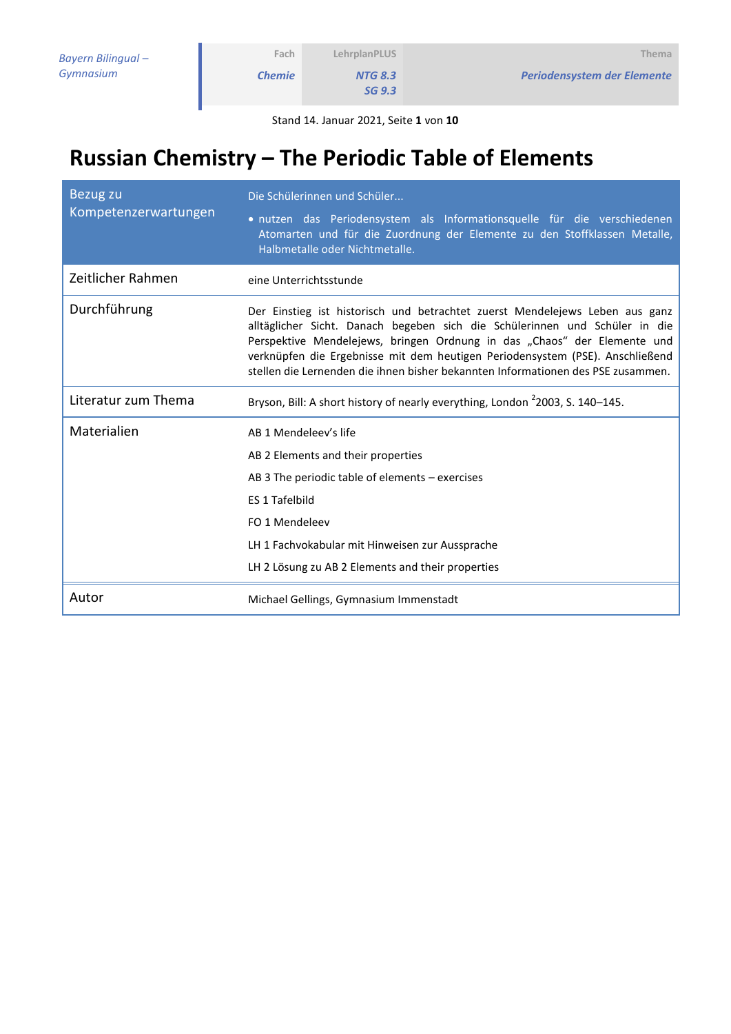*NTG 8.3*

*SG 9.3*

Stand 14. Januar 2021, Seite **1** von **10**

# **Russian Chemistry – The Periodic Table of Elements**

| Bezug zu<br>Kompetenzerwartungen | Die Schülerinnen und Schüler<br>· nutzen das Periodensystem als Informationsquelle für die verschiedenen<br>Atomarten und für die Zuordnung der Elemente zu den Stoffklassen Metalle,<br>Halbmetalle oder Nichtmetalle.                                                                                                                                                                                      |  |  |
|----------------------------------|--------------------------------------------------------------------------------------------------------------------------------------------------------------------------------------------------------------------------------------------------------------------------------------------------------------------------------------------------------------------------------------------------------------|--|--|
| Zeitlicher Rahmen                | eine Unterrichtsstunde                                                                                                                                                                                                                                                                                                                                                                                       |  |  |
| Durchführung                     | Der Einstieg ist historisch und betrachtet zuerst Mendelejews Leben aus ganz<br>alltäglicher Sicht. Danach begeben sich die Schülerinnen und Schüler in die<br>Perspektive Mendelejews, bringen Ordnung in das "Chaos" der Elemente und<br>verknüpfen die Ergebnisse mit dem heutigen Periodensystem (PSE). Anschließend<br>stellen die Lernenden die ihnen bisher bekannten Informationen des PSE zusammen. |  |  |
| Literatur zum Thema              | Bryson, Bill: A short history of nearly everything, London <sup>2</sup> 2003, S. 140-145.                                                                                                                                                                                                                                                                                                                    |  |  |
| Materialien                      | AB 1 Mendeleev's life<br>AB 2 Elements and their properties<br>AB 3 The periodic table of elements $-$ exercises<br>ES 1 Tafelbild<br>FO 1 Mendeleev                                                                                                                                                                                                                                                         |  |  |
|                                  | LH 1 Fachvokabular mit Hinweisen zur Aussprache                                                                                                                                                                                                                                                                                                                                                              |  |  |
|                                  | LH 2 Lösung zu AB 2 Elements and their properties                                                                                                                                                                                                                                                                                                                                                            |  |  |
| Autor                            | Michael Gellings, Gymnasium Immenstadt                                                                                                                                                                                                                                                                                                                                                                       |  |  |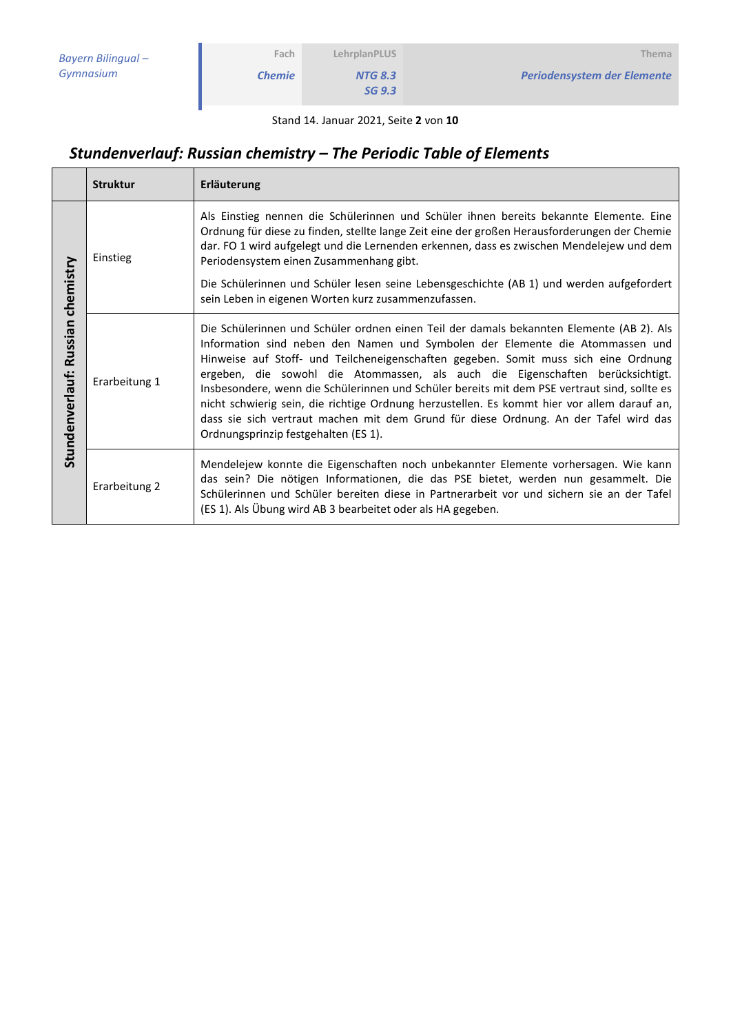*NTG 8.3 SG 9.3*

Stand 14. Januar 2021, Seite **2** von **10**

# *Stundenverlauf: Russian chemistry – The Periodic Table of Elements*

**Fach** *Chemie*

|                                         | <b>Struktur</b> | Erläuterung                                                                                                                                                                                                                                                                                                                                                                                                                                                                                                                                                                                                                                                                       |
|-----------------------------------------|-----------------|-----------------------------------------------------------------------------------------------------------------------------------------------------------------------------------------------------------------------------------------------------------------------------------------------------------------------------------------------------------------------------------------------------------------------------------------------------------------------------------------------------------------------------------------------------------------------------------------------------------------------------------------------------------------------------------|
| chemistry<br>Russian<br>Stundenverlauf: | Einstieg        | Als Einstieg nennen die Schülerinnen und Schüler ihnen bereits bekannte Elemente. Eine<br>Ordnung für diese zu finden, stellte lange Zeit eine der großen Herausforderungen der Chemie<br>dar. FO 1 wird aufgelegt und die Lernenden erkennen, dass es zwischen Mendelejew und dem<br>Periodensystem einen Zusammenhang gibt.                                                                                                                                                                                                                                                                                                                                                     |
|                                         |                 | Die Schülerinnen und Schüler lesen seine Lebensgeschichte (AB 1) und werden aufgefordert<br>sein Leben in eigenen Worten kurz zusammenzufassen.                                                                                                                                                                                                                                                                                                                                                                                                                                                                                                                                   |
|                                         | Erarbeitung 1   | Die Schülerinnen und Schüler ordnen einen Teil der damals bekannten Elemente (AB 2). Als<br>Information sind neben den Namen und Symbolen der Elemente die Atommassen und<br>Hinweise auf Stoff- und Teilcheneigenschaften gegeben. Somit muss sich eine Ordnung<br>ergeben, die sowohl die Atommassen, als auch die Eigenschaften berücksichtigt.<br>Insbesondere, wenn die Schülerinnen und Schüler bereits mit dem PSE vertraut sind, sollte es<br>nicht schwierig sein, die richtige Ordnung herzustellen. Es kommt hier vor allem darauf an,<br>dass sie sich vertraut machen mit dem Grund für diese Ordnung. An der Tafel wird das<br>Ordnungsprinzip festgehalten (ES 1). |
|                                         | Erarbeitung 2   | Mendelejew konnte die Eigenschaften noch unbekannter Elemente vorhersagen. Wie kann<br>das sein? Die nötigen Informationen, die das PSE bietet, werden nun gesammelt. Die<br>Schülerinnen und Schüler bereiten diese in Partnerarbeit vor und sichern sie an der Tafel<br>(ES 1). Als Übung wird AB 3 bearbeitet oder als HA gegeben.                                                                                                                                                                                                                                                                                                                                             |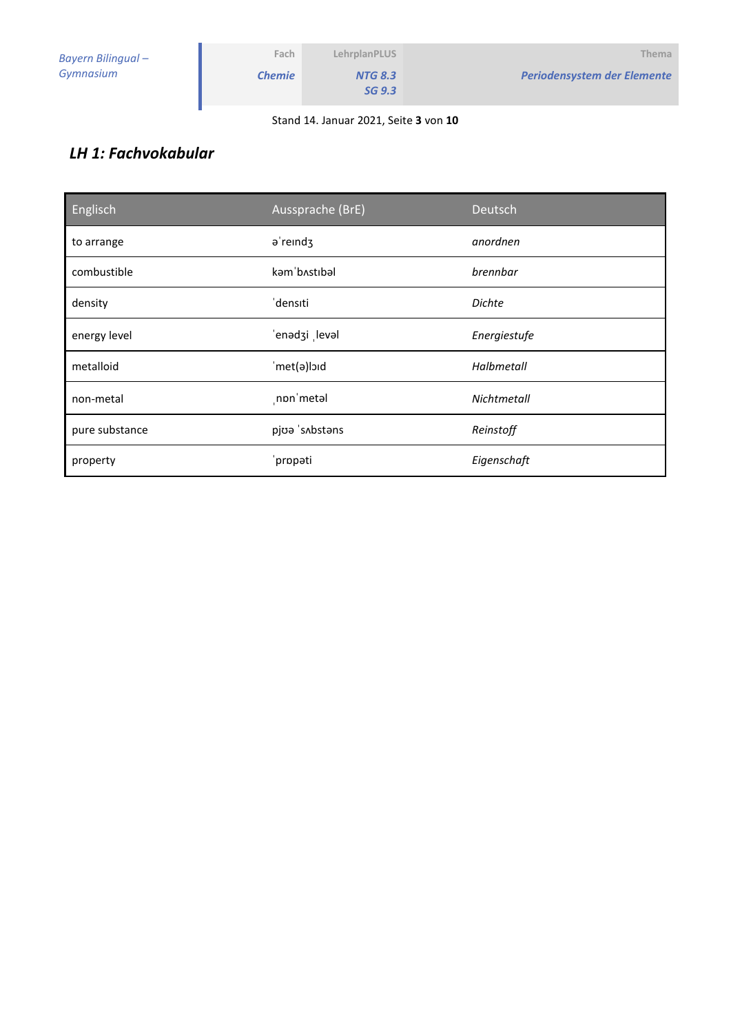| Bayern Bilingual - | Fach          | LehrplanPLUS             | Thema                       |
|--------------------|---------------|--------------------------|-----------------------------|
| Gymnasium          | <b>Chemie</b> | <b>NTG 8.3</b><br>SG 9.3 | Periodensystem der Elemente |
|                    |               |                          |                             |

Stand 14. Januar 2021, Seite **3** von **10**

### *LH 1: Fachvokabular*

| Englisch       | Aussprache (BrE)              | Deutsch       |
|----------------|-------------------------------|---------------|
| to arrange     | a'reind3                      | anordnen      |
| combustible    | kəm bostibəl                  | brennbar      |
| density        | densiti                       | <b>Dichte</b> |
| energy level   | 'enədzi levəl<br>Energiestufe |               |
| metalloid      | met(a)loid                    | Halbmetall    |
| non-metal      | non metal                     | Nichtmetall   |
| pure substance | pjoa 's Abstans               | Reinstoff     |
| property       | 'propati                      | Eigenschaft   |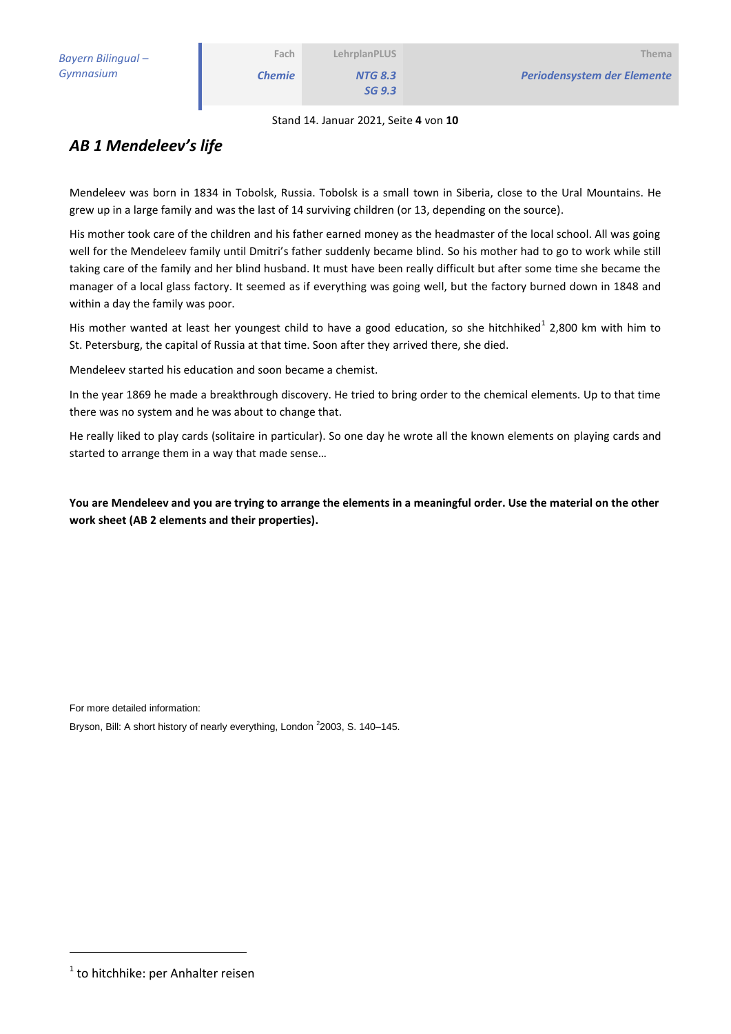*NTG 8.3 SG 9.3*

Stand 14. Januar 2021, Seite **4** von **10**

### *AB 1 Mendeleev's life*

Mendeleev was born in 1834 in Tobolsk, Russia. Tobolsk is a small town in Siberia, close to the Ural Mountains. He grew up in a large family and was the last of 14 surviving children (or 13, depending on the source).

His mother took care of the children and his father earned money as the headmaster of the local school. All was going well for the Mendeleev family until Dmitri's father suddenly became blind. So his mother had to go to work while still taking care of the family and her blind husband. It must have been really difficult but after some time she became the manager of a local glass factory. It seemed as if everything was going well, but the factory burned down in 1848 and within a day the family was poor.

His mother wanted at least her youngest child to have a good education, so she hitchhiked<sup>1</sup> 2,800 km with him to St. Petersburg, the capital of Russia at that time. Soon after they arrived there, she died.

Mendeleev started his education and soon became a chemist.

In the year 1869 he made a breakthrough discovery. He tried to bring order to the chemical elements. Up to that time there was no system and he was about to change that.

He really liked to play cards (solitaire in particular). So one day he wrote all the known elements on playing cards and started to arrange them in a way that made sense…

**You are Mendeleev and you are trying to arrange the elements in a meaningful order. Use the material on the other work sheet (AB 2 elements and their properties).**

For more detailed information:

Bryson, Bill: A short history of nearly everything, London <sup>2</sup>2003, S. 140–145.

-

<sup>&</sup>lt;sup>1</sup> to hitchhike: per Anhalter reisen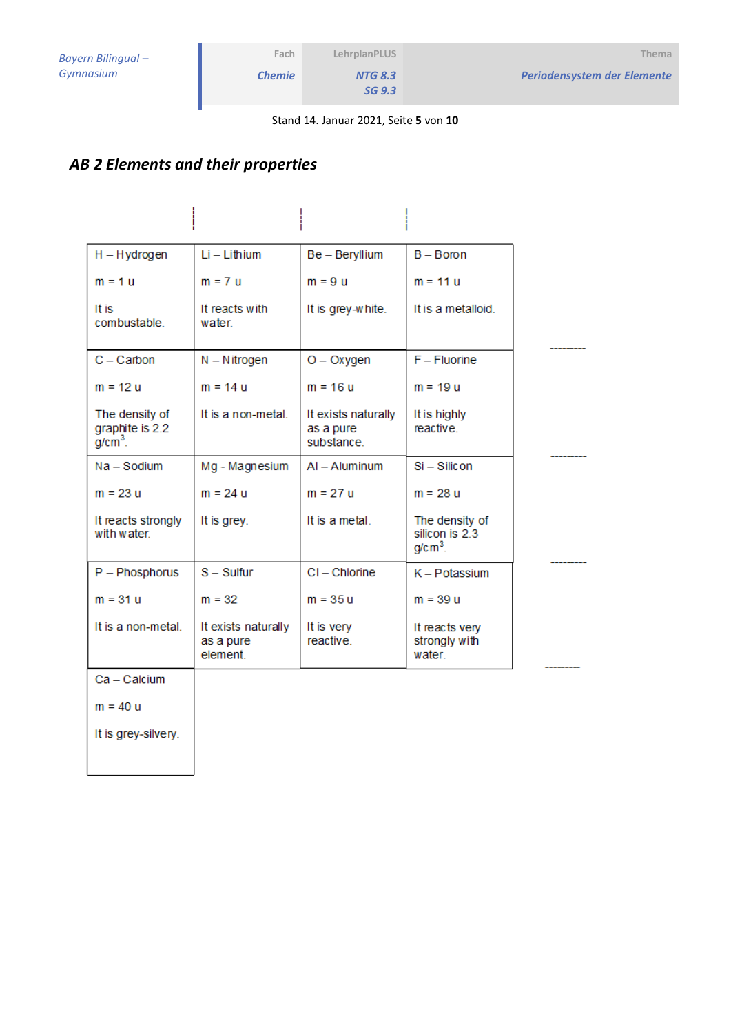$\overline{a}$ 

*NTG 8.3 SG 9.3*

Stand 14. Januar 2021, Seite **5** von **10**

# *AB 2 Elements and their properties*

| $H - Hydrogen$                                 | $Li - Li$ thium                              | Be - Beryllium                                | $B - B$ oron                                  |
|------------------------------------------------|----------------------------------------------|-----------------------------------------------|-----------------------------------------------|
| $m = 1$ u                                      | $m = 7$ u                                    | $m = 9$ u                                     | $m = 11 u$                                    |
| It is<br>combustable.                          | It reacts with<br>water                      | It is grey-white.                             | It is a metalloid.                            |
| $C -$ Carbon                                   | $N - N$ itrogen                              | $O - Oxygen$                                  | $F - Fluorine$                                |
| $m = 12 u$                                     | $m = 14 u$                                   | $m = 16 u$                                    | $m = 19 u$                                    |
| The density of<br>graphite is 2.2<br>$g/cm3$ . | It is a non-metal.                           | It exists naturally<br>as a pure<br>substance | It is highly<br>reactive.                     |
| Na - Sodium                                    | Mg - Magnesium                               | $AI - Aluminum$                               | Si-Silicon                                    |
| $m = 23 u$                                     | $m = 24 u$                                   | $m = 27 u$                                    | $m = 28 u$                                    |
| It reacts strongly<br>with water.              | It is grey.                                  | It is a metal.                                | The density of<br>silicon is 2.3<br>$g/cm3$ . |
| P - Phosphorus                                 | $S - S$ ulfur                                | CI-Chlorine                                   | K - Potassium                                 |
| $m = 31 u$                                     | $m = 32$                                     | $m = 35u$                                     | $m = 39 u$                                    |
| It is a non-metal.                             | It exists naturally<br>as a pure<br>element. | It is very<br>reactive.                       | It reacts very<br>strongly with<br>water      |
| Ca - Calcium                                   |                                              |                                               |                                               |
| $m = 40 u$                                     |                                              |                                               |                                               |
| It is grey-silvery.                            |                                              |                                               |                                               |
|                                                |                                              |                                               |                                               |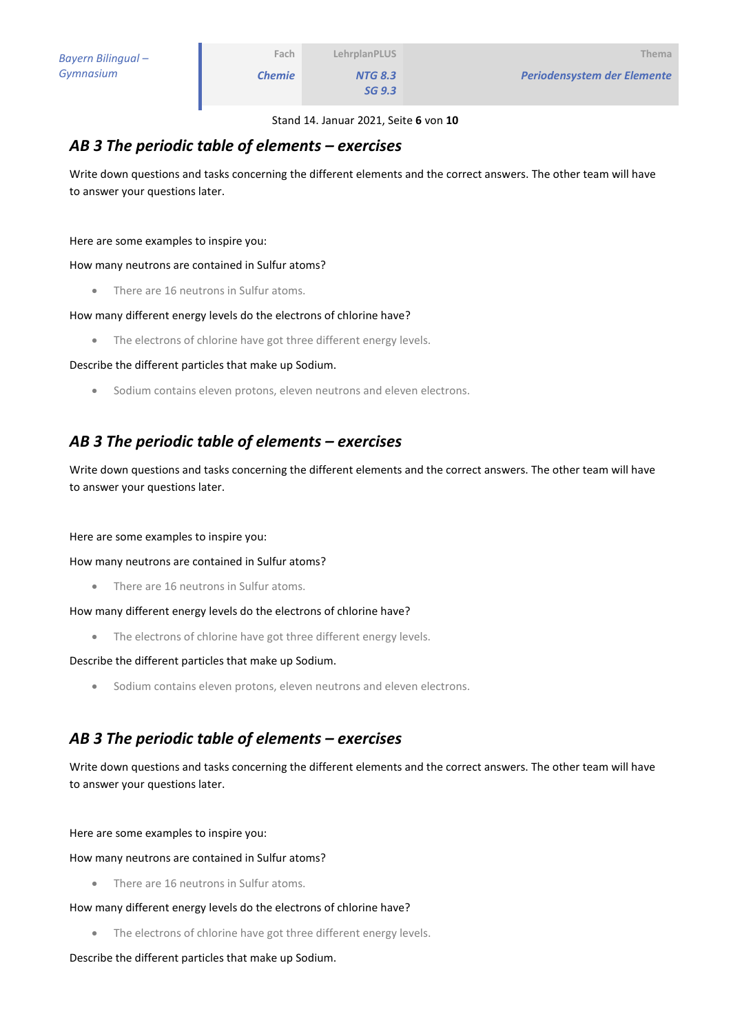*Periodensystem der Elemente*

*NTG 8.3 SG 9.3*

#### *AB 3 The periodic table of elements – exercises*

Write down questions and tasks concerning the different elements and the correct answers. The other team will have to answer your questions later.

Here are some examples to inspire you:

How many neutrons are contained in Sulfur atoms?

• There are 16 neutrons in Sulfur atoms.

#### How many different energy levels do the electrons of chlorine have?

The electrons of chlorine have got three different energy levels.

Describe the different particles that make up Sodium.

Sodium contains eleven protons, eleven neutrons and eleven electrons.

### *AB 3 The periodic table of elements – exercises*

Write down questions and tasks concerning the different elements and the correct answers. The other team will have to answer your questions later.

Here are some examples to inspire you:

How many neutrons are contained in Sulfur atoms?

• There are 16 neutrons in Sulfur atoms.

How many different energy levels do the electrons of chlorine have?

• The electrons of chlorine have got three different energy levels.

Describe the different particles that make up Sodium.

Sodium contains eleven protons, eleven neutrons and eleven electrons.

### *AB 3 The periodic table of elements – exercises*

Write down questions and tasks concerning the different elements and the correct answers. The other team will have to answer your questions later.

Here are some examples to inspire you:

How many neutrons are contained in Sulfur atoms?

• There are 16 neutrons in Sulfur atoms.

How many different energy levels do the electrons of chlorine have?

The electrons of chlorine have got three different energy levels.

Describe the different particles that make up Sodium.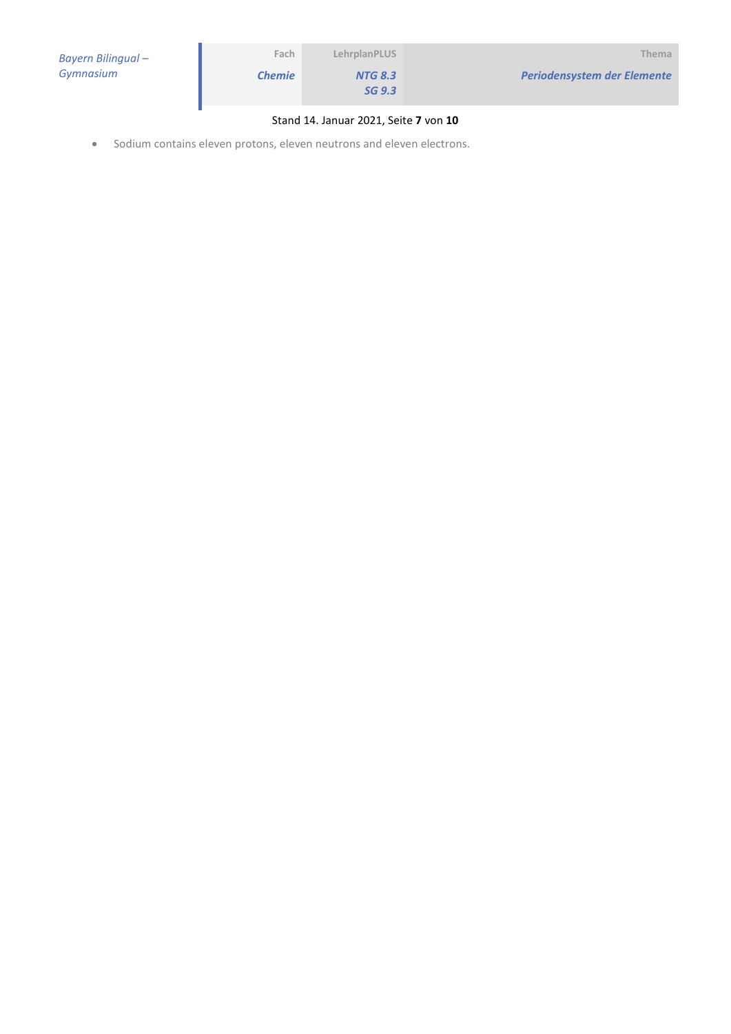| Bayern Bilingual - | Fach          | LehrplanPLUS             | Thema                       |
|--------------------|---------------|--------------------------|-----------------------------|
| Gymnasium          | <b>Chemie</b> | <b>NTG 8.3</b><br>SG 9.3 | Periodensystem der Elemente |
|                    |               |                          |                             |

#### Stand 14. Januar 2021, Seite **7** von **10**

Sodium contains eleven protons, eleven neutrons and eleven electrons.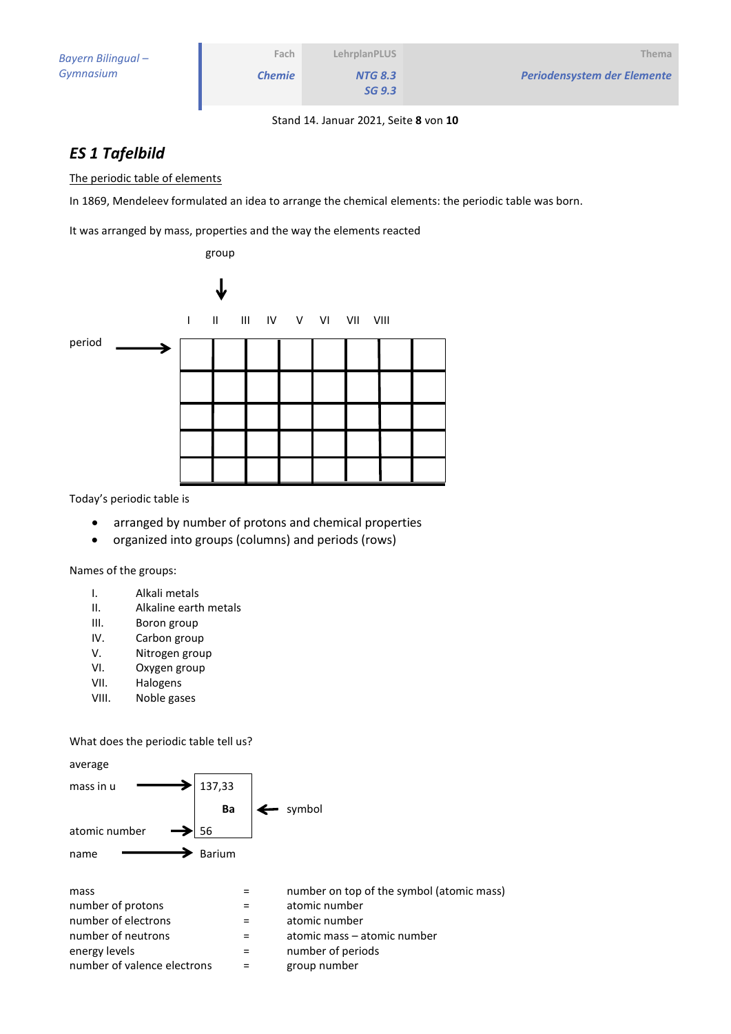#### Stand 14. Januar 2021, Seite **8** von **10**

### *ES 1 Tafelbild*

The periodic table of elements

In 1869, Mendeleev formulated an idea to arrange the chemical elements: the periodic table was born.

It was arranged by mass, properties and the way the elements reacted



Today's periodic table is

- arranged by number of protons and chemical properties
- organized into groups (columns) and periods (rows)

Names of the groups:

- I. Alkali metals
- II. Alkaline earth metals
- III. Boron group
- IV. Carbon group
- V. Nitrogen group
- VI. Oxygen group
- VII. Halogens
- VIII. Noble gases

#### What does the periodic table tell us?

| average                     |        |                                           |
|-----------------------------|--------|-------------------------------------------|
| mass in u                   | 137,33 |                                           |
|                             | Ba     | symbol                                    |
| atomic number               | 56     |                                           |
| name                        | Barium |                                           |
| mass                        |        | number on top of the symbol (atomic mass) |
| number of protons           |        | atomic number                             |
| number of electrons         | $=$    | atomic number                             |
| number of neutrons          | $=$    | atomic mass – atomic number               |
| energy levels               |        | number of periods                         |
| number of valence electrons |        | group number                              |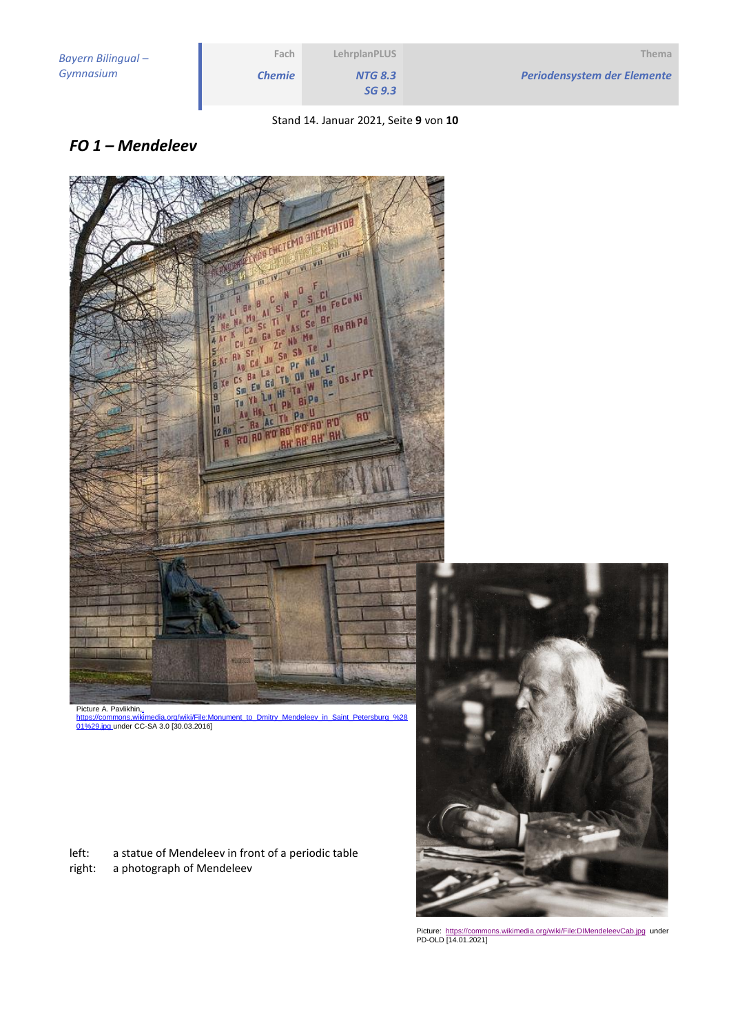|                    | LehrplanPLUS                          | Fach          |
|--------------------|---------------------------------------|---------------|
| Periodensystem der | <b>NTG 8.3</b>                        | <b>Chemie</b> |
|                    | SG 9.3                                |               |
|                    | Stand 14. Januar 2021, Seite 9 von 10 |               |

### *FO 1 – Mendeleev*



Picture A. Pavlikhin, Monument to Dmitry Mendeleev in Saint Petersburg %2 https://commons.wikimedia.org/wiki/File:M<br>[01%29.jpg](file:///C:/Users/Brunner/AppData/Local/Temp/,%20https:/commons.wikimedia.org/wiki/File:Monument_to_Dmitry_Mendeleev_in_Saint_Petersburg_(01).jpg) under CC-SA 3.0 [30.03.2016]

left: a statue of Mendeleev in front of a periodic table right: a photograph of Mendeleev



Picture:<https://commons.wikimedia.org/wiki/File:DIMendeleevCab.jpg> under<br>PD-OLD [14.01.2021]

*<u>Flemente</u>*